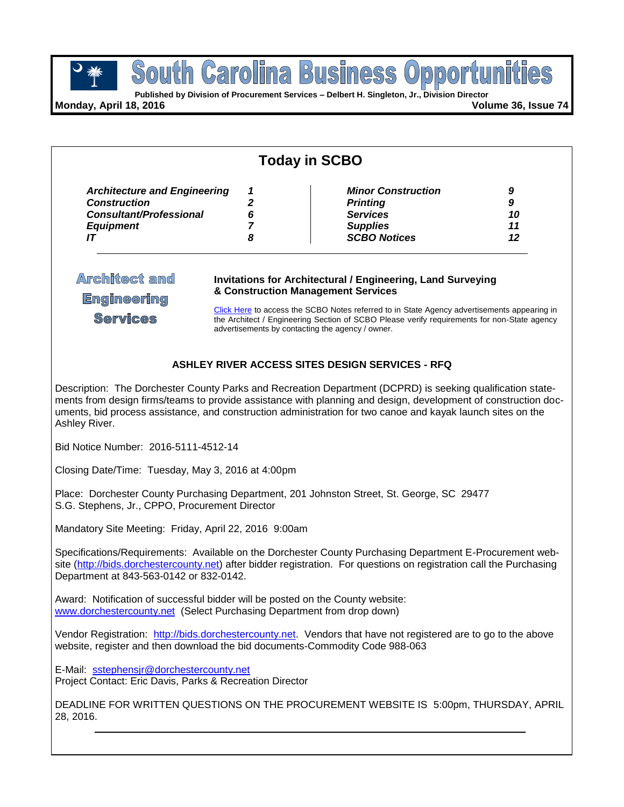

pportui **Published by Division of Procurement Services – Delbert H. Singleton, Jr., Division Director**

South Carolina

**BUS** 

**Monday, April 18, 2016 Volume 36, Issue 74**

| 9  |
|----|
| 9  |
| 10 |
| 11 |
| 12 |
|    |

# **ASHLEY RIVER ACCESS SITES DESIGN SERVICES - RFQ**

advertisements by contacting the agency / owner.

Description: The Dorchester County Parks and Recreation Department (DCPRD) is seeking qualification statements from design firms/teams to provide assistance with planning and design, development of construction documents, bid process assistance, and construction administration for two canoe and kayak launch sites on the Ashley River.

Bid Notice Number: 2016-5111-4512-14

Closing Date/Time: Tuesday, May 3, 2016 at 4:00pm

Place: Dorchester County Purchasing Department, 201 Johnston Street, St. George, SC 29477 S.G. Stephens, Jr., CPPO, Procurement Director

Mandatory Site Meeting: Friday, April 22, 2016 9:00am

Specifications/Requirements: Available on the Dorchester County Purchasing Department E-Procurement website [\(http://bids.dorchestercounty.net\)](http://bids.dorchestercounty.net/) after bidder registration. For questions on registration call the Purchasing Department at 843-563-0142 or 832-0142.

Award: Notification of successful bidder will be posted on the County website: [www.dorchestercounty.net](http://www.dorchestercounty.net/) (Select Purchasing Department from drop down)

Vendor Registration: [http://bids.dorchestercounty.net.](http://bids.dorchestercounty.net/) Vendors that have not registered are to go to the above website, register and then download the bid documents-Commodity Code 988-063

E-Mail: [sstephensjr@dorchestercounty.net](mailto:sstephensjr@dorchestercounty.net) Project Contact: Eric Davis, Parks & Recreation Director

DEADLINE FOR WRITTEN QUESTIONS ON THE PROCUREMENT WEBSITE IS 5:00pm, THURSDAY, APRIL 28, 2016.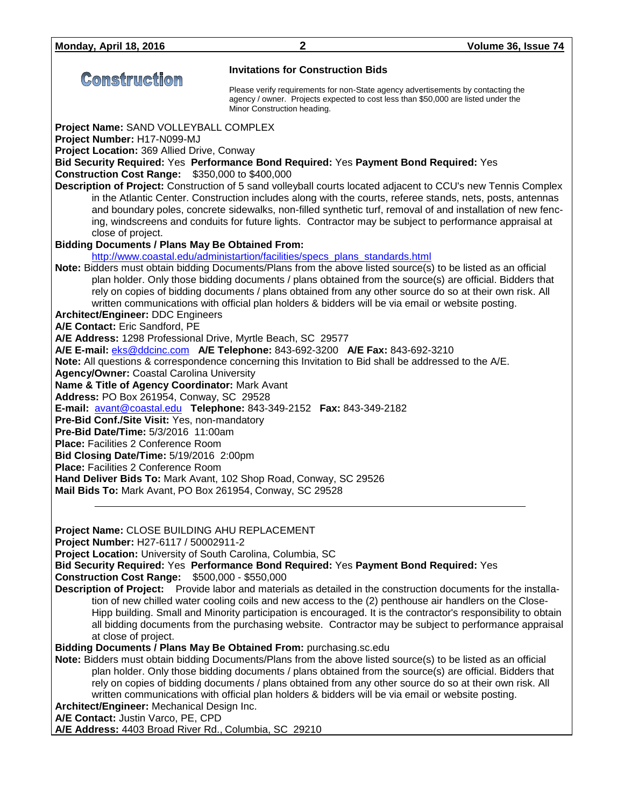|                                                                                                                                | <b>Invitations for Construction Bids</b>                                                                                                                                                                     |
|--------------------------------------------------------------------------------------------------------------------------------|--------------------------------------------------------------------------------------------------------------------------------------------------------------------------------------------------------------|
| <b>Construction</b>                                                                                                            |                                                                                                                                                                                                              |
|                                                                                                                                | Please verify requirements for non-State agency advertisements by contacting the<br>agency / owner. Projects expected to cost less than \$50,000 are listed under the<br>Minor Construction heading.         |
| Project Name: SAND VOLLEYBALL COMPLEX                                                                                          |                                                                                                                                                                                                              |
| Project Number: H17-N099-MJ                                                                                                    |                                                                                                                                                                                                              |
| Project Location: 369 Allied Drive, Conway                                                                                     |                                                                                                                                                                                                              |
| <b>Construction Cost Range: \$350,000 to \$400,000</b>                                                                         | Bid Security Required: Yes Performance Bond Required: Yes Payment Bond Required: Yes                                                                                                                         |
|                                                                                                                                | Description of Project: Construction of 5 sand volleyball courts located adjacent to CCU's new Tennis Complex                                                                                                |
|                                                                                                                                | in the Atlantic Center. Construction includes along with the courts, referee stands, nets, posts, antennas                                                                                                   |
|                                                                                                                                | and boundary poles, concrete sidewalks, non-filled synthetic turf, removal of and installation of new fenc-                                                                                                  |
| close of project.                                                                                                              | ing, windscreens and conduits for future lights. Contractor may be subject to performance appraisal at                                                                                                       |
| <b>Bidding Documents / Plans May Be Obtained From:</b>                                                                         |                                                                                                                                                                                                              |
|                                                                                                                                | http://www.coastal.edu/administartion/facilities/specs_plans_standards.html                                                                                                                                  |
|                                                                                                                                | Note: Bidders must obtain bidding Documents/Plans from the above listed source(s) to be listed as an official                                                                                                |
|                                                                                                                                | plan holder. Only those bidding documents / plans obtained from the source(s) are official. Bidders that                                                                                                     |
|                                                                                                                                | rely on copies of bidding documents / plans obtained from any other source do so at their own risk. All<br>written communications with official plan holders & bidders will be via email or website posting. |
| <b>Architect/Engineer: DDC Engineers</b>                                                                                       |                                                                                                                                                                                                              |
| A/E Contact: Eric Sandford, PE                                                                                                 |                                                                                                                                                                                                              |
| A/E Address: 1298 Professional Drive, Myrtle Beach, SC 29577                                                                   |                                                                                                                                                                                                              |
|                                                                                                                                | A/E E-mail: eks@ddcinc.com A/E Telephone: 843-692-3200 A/E Fax: 843-692-3210<br>Note: All questions & correspondence concerning this Invitation to Bid shall be addressed to the A/E.                        |
| <b>Agency/Owner: Coastal Carolina University</b>                                                                               |                                                                                                                                                                                                              |
| Name & Title of Agency Coordinator: Mark Avant                                                                                 |                                                                                                                                                                                                              |
| Address: PO Box 261954, Conway, SC 29528                                                                                       |                                                                                                                                                                                                              |
| Pre-Bid Conf./Site Visit: Yes, non-mandatory                                                                                   | E-mail: avant@coastal.edu Telephone: 843-349-2152 Fax: 843-349-2182                                                                                                                                          |
| Pre-Bid Date/Time: 5/3/2016 11:00am                                                                                            |                                                                                                                                                                                                              |
| <b>Place: Facilities 2 Conference Room</b>                                                                                     |                                                                                                                                                                                                              |
| Bid Closing Date/Time: 5/19/2016 2:00pm                                                                                        |                                                                                                                                                                                                              |
| <b>Place: Facilities 2 Conference Room</b>                                                                                     |                                                                                                                                                                                                              |
| Hand Deliver Bids To: Mark Avant, 102 Shop Road, Conway, SC 29526<br>Mail Bids To: Mark Avant, PO Box 261954, Conway, SC 29528 |                                                                                                                                                                                                              |
|                                                                                                                                |                                                                                                                                                                                                              |
|                                                                                                                                |                                                                                                                                                                                                              |
| Project Name: CLOSE BUILDING AHU REPLACEMENT                                                                                   |                                                                                                                                                                                                              |
| Project Number: H27-6117 / 50002911-2                                                                                          |                                                                                                                                                                                                              |
| Project Location: University of South Carolina, Columbia, SC                                                                   | Bid Security Required: Yes Performance Bond Required: Yes Payment Bond Required: Yes                                                                                                                         |
| <b>Construction Cost Range:</b>                                                                                                | \$500,000 - \$550,000                                                                                                                                                                                        |
|                                                                                                                                | Description of Project: Provide labor and materials as detailed in the construction documents for the installa-                                                                                              |
|                                                                                                                                | tion of new chilled water cooling coils and new access to the (2) penthouse air handlers on the Close-                                                                                                       |
|                                                                                                                                | Hipp building. Small and Minority participation is encouraged. It is the contractor's responsibility to obtain                                                                                               |
| at close of project.                                                                                                           | all bidding documents from the purchasing website. Contractor may be subject to performance appraisal                                                                                                        |
|                                                                                                                                | Bidding Documents / Plans May Be Obtained From: purchasing.sc.edu                                                                                                                                            |
|                                                                                                                                |                                                                                                                                                                                                              |

**Note:** Bidders must obtain bidding Documents/Plans from the above listed source(s) to be listed as an official plan holder. Only those bidding documents / plans obtained from the source(s) are official. Bidders that rely on copies of bidding documents / plans obtained from any other source do so at their own risk. All written communications with official plan holders & bidders will be via email or website posting. **Architect/Engineer:** Mechanical Design Inc.

**A/E Contact:** Justin Varco, PE, CPD

**A/E Address:** 4403 Broad River Rd., Columbia, SC 29210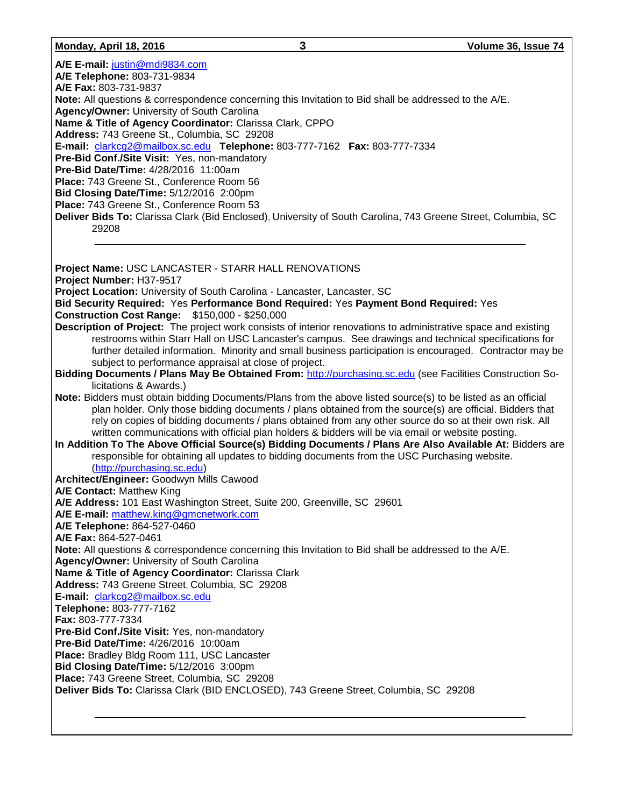#### **Monday, April 18, 2016 3 Volume 36, Issue 74**

**A/E E-mail:** [justin@mdi9834.com](mailto:justin@mdi9834.com) **A/E Telephone:** 803-731-9834 **A/E Fax:** 803-731-9837 **Note:** All questions & correspondence concerning this Invitation to Bid shall be addressed to the A/E. **Agency/Owner:** University of South Carolina **Name & Title of Agency Coordinator:** Clarissa Clark, CPPO **Address:** 743 Greene St., Columbia, SC 29208 **E-mail:** [clarkcg2@mailbox.sc.edu](mailto:clarkcg2@mailbox.sc.edu) **Telephone:** 803-777-7162 **Fax:** 803-777-7334 **Pre-Bid Conf./Site Visit:** Yes, non-mandatory **Pre-Bid Date/Time:** 4/28/2016 11:00am **Place:** 743 Greene St., Conference Room 56 **Bid Closing Date/Time:** 5/12/2016 2:00pm **Place:** 743 Greene St., Conference Room 53 **Deliver Bids To:** Clarissa Clark (Bid Enclosed), University of South Carolina, 743 Greene Street, Columbia, SC 29208 **Project Name:** USC LANCASTER - STARR HALL RENOVATIONS **Project Number:** H37-9517 **Project Location:** University of South Carolina - Lancaster, Lancaster, SC **Bid Security Required:** Yes **Performance Bond Required:** Yes **Payment Bond Required:** Yes **Construction Cost Range:** \$150,000 - \$250,000 **Description of Project:** The project work consists of interior renovations to administrative space and existing restrooms within Starr Hall on USC Lancaster's campus. See drawings and technical specifications for further detailed information. Minority and small business participation is encouraged. Contractor may be subject to performance appraisal at close of project. **Bidding Documents / Plans May Be Obtained From:** [http://purchasing.sc.edu](http://purchasing.sc.edu/) (see Facilities Construction Solicitations & Awards.) **Note:** Bidders must obtain bidding Documents/Plans from the above listed source(s) to be listed as an official plan holder. Only those bidding documents / plans obtained from the source(s) are official. Bidders that rely on copies of bidding documents / plans obtained from any other source do so at their own risk. All written communications with official plan holders & bidders will be via email or website posting. **In Addition To The Above Official Source(s) Bidding Documents / Plans Are Also Available At:** Bidders are responsible for obtaining all updates to bidding documents from the USC Purchasing website. [\(http://purchasing.sc.edu\)](http://purchasing.sc.edu/) **Architect/Engineer:** Goodwyn Mills Cawood **A/E Contact:** Matthew King **A/E Address:** 101 East Washington Street, Suite 200, Greenville, SC 29601 **A/E E-mail:** [matthew.king@gmcnetwork.com](mailto:matthew.king@gmcnetwork.com) **A/E Telephone:** 864-527-0460 **A/E Fax:** 864-527-0461 **Note:** All questions & correspondence concerning this Invitation to Bid shall be addressed to the A/E. **Agency/Owner:** University of South Carolina **Name & Title of Agency Coordinator:** Clarissa Clark **Address:** 743 Greene Street, Columbia, SC 29208 **E-mail:** [clarkcg2@mailbox.sc.edu](mailto:clarkcg2@mailbox.sc.edu) **Telephone:** 803-777-7162 **Fax:** 803-777-7334 **Pre-Bid Conf./Site Visit:** Yes, non-mandatory **Pre-Bid Date/Time:** 4/26/2016 10:00am **Place:** Bradley Bldg Room 111, USC Lancaster **Bid Closing Date/Time:** 5/12/2016 3:00pm **Place:** 743 Greene Street, Columbia, SC 29208 **Deliver Bids To:** Clarissa Clark (BID ENCLOSED), 743 Greene Street, Columbia, SC 29208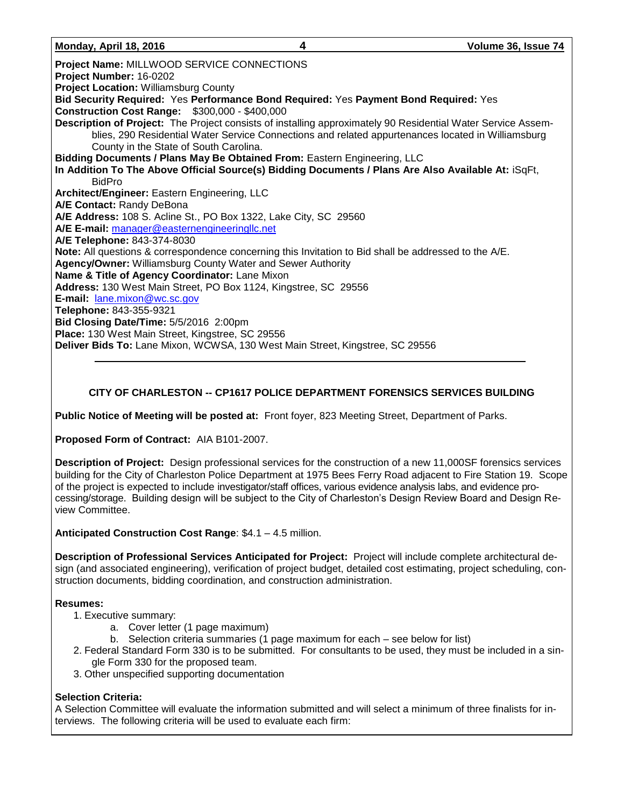**Project Name:** MILLWOOD SERVICE CONNECTIONS **Project Number:** 16-0202 **Project Location:** Williamsburg County **Bid Security Required:** Yes **Performance Bond Required:** Yes **Payment Bond Required:** Yes **Construction Cost Range:** \$300,000 - \$400,000 **Description of Project:** The Project consists of installing approximately 90 Residential Water Service Assemblies, 290 Residential Water Service Connections and related appurtenances located in Williamsburg County in the State of South Carolina. **Bidding Documents / Plans May Be Obtained From:** Eastern Engineering, LLC **In Addition To The Above Official Source(s) Bidding Documents / Plans Are Also Available At:** iSqFt, BidPro **Architect/Engineer:** Eastern Engineering, LLC **A/E Contact:** Randy DeBona **A/E Address:** 108 S. Acline St., PO Box 1322, Lake City, SC 29560 **A/E E-mail:** [manager@easternengineeringllc.net](mailto:manager@easternengineeringllc.net) **A/E Telephone:** 843-374-8030 **Note:** All questions & correspondence concerning this Invitation to Bid shall be addressed to the A/E. **Agency/Owner:** Williamsburg County Water and Sewer Authority **Name & Title of Agency Coordinator:** Lane Mixon **Address:** 130 West Main Street, PO Box 1124, Kingstree, SC 29556 **E-mail:** [lane.mixon@wc.sc.gov](mailto:lane.mixon@wc.sc.gov) **Telephone:** 843-355-9321 **Bid Closing Date/Time:** 5/5/2016 2:00pm **Place:** 130 West Main Street, Kingstree, SC 29556 **Deliver Bids To:** Lane Mixon, WCWSA, 130 West Main Street, Kingstree, SC 29556

# **CITY OF CHARLESTON -- CP1617 POLICE DEPARTMENT FORENSICS SERVICES BUILDING**

**Public Notice of Meeting will be posted at:** Front foyer, 823 Meeting Street, Department of Parks.

**Proposed Form of Contract:** AIA B101-2007.

**Description of Project:** Design professional services for the construction of a new 11,000SF forensics services building for the City of Charleston Police Department at 1975 Bees Ferry Road adjacent to Fire Station 19. Scope of the project is expected to include investigator/staff offices, various evidence analysis labs, and evidence processing/storage. Building design will be subject to the City of Charleston's Design Review Board and Design Review Committee.

**Anticipated Construction Cost Range**: \$4.1 – 4.5 million.

**Description of Professional Services Anticipated for Project:** Project will include complete architectural design (and associated engineering), verification of project budget, detailed cost estimating, project scheduling, construction documents, bidding coordination, and construction administration.

### **Resumes:**

- 1. Executive summary:
	- a. Cover letter (1 page maximum)
	- b. Selection criteria summaries (1 page maximum for each see below for list)
- 2. Federal Standard Form 330 is to be submitted.For consultants to be used, they must be included in a single Form 330 for the proposed team.
- 3. Other unspecified supporting documentation

# **Selection Criteria:**

A Selection Committee will evaluate the information submitted and will select a minimum of three finalists for interviews. The following criteria will be used to evaluate each firm: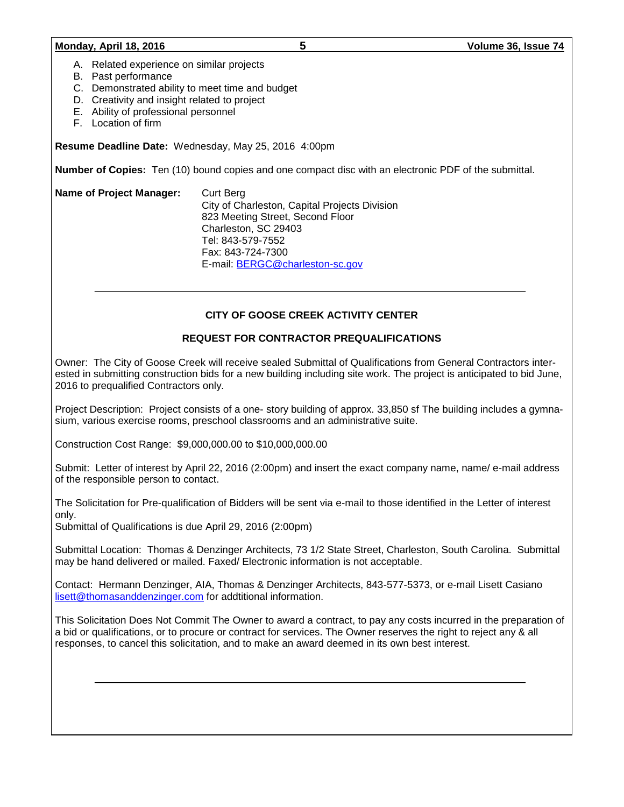#### **Monday, April 18, 2016 5 Volume 36, Issue 74**

- A. Related experience on similar projects
- B. Past performance
- C. Demonstrated ability to meet time and budget
- D. Creativity and insight related to project
- E. Ability of professional personnel
- F. Location of firm

**Resume Deadline Date:** Wednesday, May 25, 2016 4:00pm

**Number of Copies:** Ten (10) bound copies and one compact disc with an electronic PDF of the submittal.

| <b>Name of Project Manager:</b> | Curt Berg                                     |  |
|---------------------------------|-----------------------------------------------|--|
|                                 | City of Charleston, Capital Projects Division |  |
|                                 | 823 Meeting Street, Second Floor              |  |
|                                 | Charleston, SC 29403                          |  |
|                                 | Tel: 843-579-7552                             |  |
|                                 | Fax: 843-724-7300                             |  |
|                                 | E-mail: BERGC@charleston-sc.gov               |  |

## **CITY OF GOOSE CREEK ACTIVITY CENTER**

### **REQUEST FOR CONTRACTOR PREQUALIFICATIONS**

Owner: The City of Goose Creek will receive sealed Submittal of Qualifications from General Contractors interested in submitting construction bids for a new building including site work. The project is anticipated to bid June, 2016 to prequalified Contractors only.

Project Description: Project consists of a one- story building of approx. 33,850 sf The building includes a gymnasium, various exercise rooms, preschool classrooms and an administrative suite.

Construction Cost Range: \$9,000,000.00 to \$10,000,000.00

Submit: Letter of interest by April 22, 2016 (2:00pm) and insert the exact company name, name/ e-mail address of the responsible person to contact.

The Solicitation for Pre-qualification of Bidders will be sent via e-mail to those identified in the Letter of interest only.

Submittal of Qualifications is due April 29, 2016 (2:00pm)

Submittal Location: Thomas & Denzinger Architects, 73 1/2 State Street, Charleston, South Carolina. Submittal may be hand delivered or mailed. Faxed/ Electronic information is not acceptable.

Contact: Hermann Denzinger, AIA, Thomas & Denzinger Architects, 843-577-5373, or e-mail Lisett Casiano [lisett@thomasanddenzinger.com](mailto:lisett@thomasanddenzinger.com) for addtitional information.

This Solicitation Does Not Commit The Owner to award a contract, to pay any costs incurred in the preparation of a bid or qualifications, or to procure or contract for services. The Owner reserves the right to reject any & all responses, to cancel this solicitation, and to make an award deemed in its own best interest.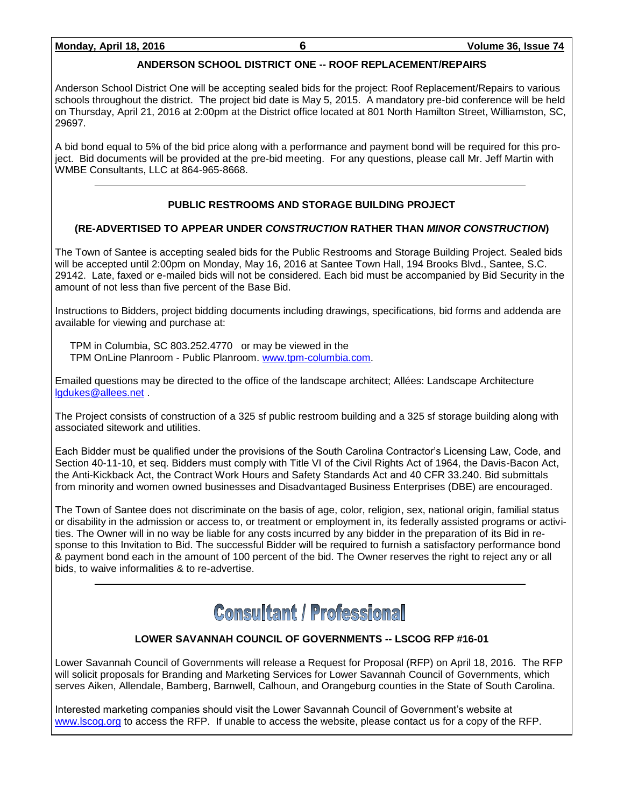# **ANDERSON SCHOOL DISTRICT ONE -- ROOF REPLACEMENT/REPAIRS**

Anderson School District One will be accepting sealed bids for the project: Roof Replacement/Repairs to various schools throughout the district. The project bid date is May 5, 2015. A mandatory pre-bid conference will be held on Thursday, April 21, 2016 at 2:00pm at the District office located at 801 North Hamilton Street, Williamston, SC, 29697.

A bid bond equal to 5% of the bid price along with a performance and payment bond will be required for this project. Bid documents will be provided at the pre-bid meeting. For any questions, please call Mr. Jeff Martin with WMBE Consultants, LLC at 864-965-8668.

# **PUBLIC RESTROOMS AND STORAGE BUILDING PROJECT**

# **(RE-ADVERTISED TO APPEAR UNDER** *CONSTRUCTION* **RATHER THAN** *MINOR CONSTRUCTION***)**

The Town of Santee is accepting sealed bids for the Public Restrooms and Storage Building Project. Sealed bids will be accepted until 2:00pm on Monday, May 16, 2016 at Santee Town Hall, 194 Brooks Blvd., Santee, S.C. 29142. Late, faxed or e-mailed bids will not be considered. Each bid must be accompanied by Bid Security in the amount of not less than five percent of the Base Bid.

Instructions to Bidders, project bidding documents including drawings, specifications, bid forms and addenda are available for viewing and purchase at:

TPM in Columbia, SC 803.252.4770 or may be viewed in the TPM OnLine Planroom - Public Planroom. [www.tpm-columbia.com.](http://www.tpm-columbia.com/)

Emailed questions may be directed to the office of the landscape architect; Allées: Landscape Architecture [lgdukes@allees.net](mailto:lgdukes@allees.net) .

The Project consists of construction of a 325 sf public restroom building and a 325 sf storage building along with associated sitework and utilities.

Each Bidder must be qualified under the provisions of the South Carolina Contractor's Licensing Law, Code, and Section 40-11-10, et seq. Bidders must comply with Title VI of the Civil Rights Act of 1964, the Davis-Bacon Act, the Anti-Kickback Act, the Contract Work Hours and Safety Standards Act and 40 CFR 33.240. Bid submittals from minority and women owned businesses and Disadvantaged Business Enterprises (DBE) are encouraged.

The Town of Santee does not discriminate on the basis of age, color, religion, sex, national origin, familial status or disability in the admission or access to, or treatment or employment in, its federally assisted programs or activities. The Owner will in no way be liable for any costs incurred by any bidder in the preparation of its Bid in response to this Invitation to Bid. The successful Bidder will be required to furnish a satisfactory performance bond & payment bond each in the amount of 100 percent of the bid. The Owner reserves the right to reject any or all bids, to waive informalities & to re-advertise.

# **Consultant / Professional**

# **LOWER SAVANNAH COUNCIL OF GOVERNMENTS -- LSCOG RFP #16-01**

Lower Savannah Council of Governments will release a Request for Proposal (RFP) on April 18, 2016. The RFP will solicit proposals for Branding and Marketing Services for Lower Savannah Council of Governments, which serves Aiken, Allendale, Bamberg, Barnwell, Calhoun, and Orangeburg counties in the State of South Carolina.

Interested marketing companies should visit the Lower Savannah Council of Government's website at [www.lscog.org](http://www.lscog.org/) to access the RFP. If unable to access the website, please contact us for a copy of the RFP.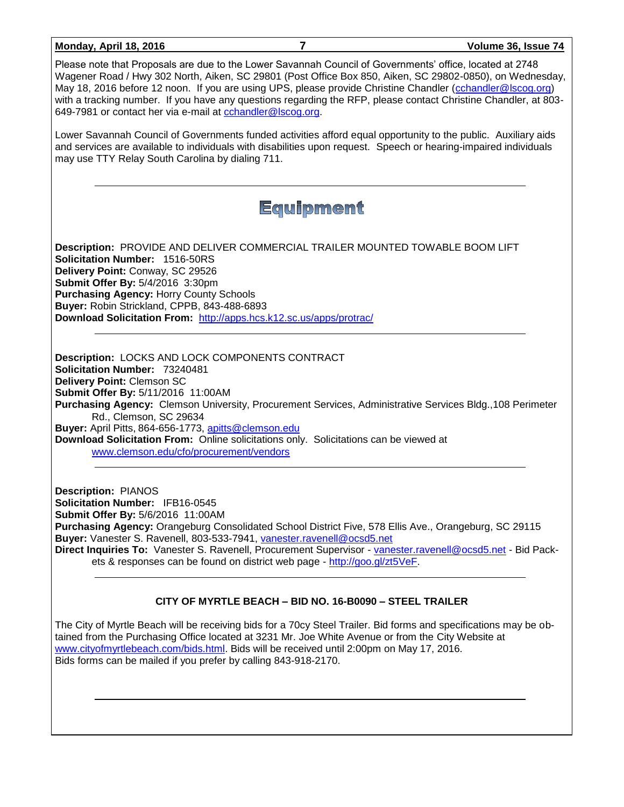| <b>Monday, April 18, 2016</b>                                                                                                                                                                                                                                                                                                                                                                                                                                                                                       | 7                                                                                                                                                                                                                                                            | Volume 36, Issue 74                                                                                                                                                                                                                |  |  |  |
|---------------------------------------------------------------------------------------------------------------------------------------------------------------------------------------------------------------------------------------------------------------------------------------------------------------------------------------------------------------------------------------------------------------------------------------------------------------------------------------------------------------------|--------------------------------------------------------------------------------------------------------------------------------------------------------------------------------------------------------------------------------------------------------------|------------------------------------------------------------------------------------------------------------------------------------------------------------------------------------------------------------------------------------|--|--|--|
| Please note that Proposals are due to the Lower Savannah Council of Governments' office, located at 2748<br>Wagener Road / Hwy 302 North, Aiken, SC 29801 (Post Office Box 850, Aiken, SC 29802-0850), on Wednesday,<br>May 18, 2016 before 12 noon. If you are using UPS, please provide Christine Chandler (cchandler@lscog.org)<br>with a tracking number. If you have any questions regarding the RFP, please contact Christine Chandler, at 803-<br>649-7981 or contact her via e-mail at cchandler@lscog.org. |                                                                                                                                                                                                                                                              |                                                                                                                                                                                                                                    |  |  |  |
| may use TTY Relay South Carolina by dialing 711.                                                                                                                                                                                                                                                                                                                                                                                                                                                                    |                                                                                                                                                                                                                                                              | Lower Savannah Council of Governments funded activities afford equal opportunity to the public. Auxiliary aids<br>and services are available to individuals with disabilities upon request. Speech or hearing-impaired individuals |  |  |  |
|                                                                                                                                                                                                                                                                                                                                                                                                                                                                                                                     | Equipment                                                                                                                                                                                                                                                    |                                                                                                                                                                                                                                    |  |  |  |
| Solicitation Number: 1516-50RS<br>Delivery Point: Conway, SC 29526<br>Submit Offer By: 5/4/2016 3:30pm<br><b>Purchasing Agency: Horry County Schools</b><br>Buyer: Robin Strickland, CPPB, 843-488-6893                                                                                                                                                                                                                                                                                                             | Description: PROVIDE AND DELIVER COMMERCIAL TRAILER MOUNTED TOWABLE BOOM LIFT<br>Download Solicitation From: http://apps.hcs.k12.sc.us/apps/protrac/                                                                                                         |                                                                                                                                                                                                                                    |  |  |  |
| Description: LOCKS AND LOCK COMPONENTS CONTRACT<br>Solicitation Number: 73240481<br>Delivery Point: Clemson SC<br>Submit Offer By: 5/11/2016 11:00AM<br>Rd., Clemson, SC 29634<br>Buyer: April Pitts, 864-656-1773, apitts@clemson.edu<br>www.clemson.edu/cfo/procurement/vendors                                                                                                                                                                                                                                   | Download Solicitation From: Online solicitations only. Solicitations can be viewed at                                                                                                                                                                        | Purchasing Agency: Clemson University, Procurement Services, Administrative Services Bldg., 108 Perimeter                                                                                                                          |  |  |  |
| <b>Description: PIANOS</b><br><b>Solicitation Number: IFB16-0545</b><br>Submit Offer By: 5/6/2016 11:00AM                                                                                                                                                                                                                                                                                                                                                                                                           | Purchasing Agency: Orangeburg Consolidated School District Five, 578 Ellis Ave., Orangeburg, SC 29115<br>Buyer: Vanester S. Ravenell, 803-533-7941, vanester.ravenell@ocsd5.net<br>ets & responses can be found on district web page - http://goo.gl/zt5VeF. | Direct Inquiries To: Vanester S. Ravenell, Procurement Supervisor - vanester.ravenell@ocsd5.net - Bid Pack-                                                                                                                        |  |  |  |
| CITY OF MYRTLE BEACH - BID NO. 16-B0090 - STEEL TRAILER                                                                                                                                                                                                                                                                                                                                                                                                                                                             |                                                                                                                                                                                                                                                              |                                                                                                                                                                                                                                    |  |  |  |

The City of Myrtle Beach will be receiving bids for a 70cy Steel Trailer. Bid forms and specifications may be obtained from the Purchasing Office located at 3231 Mr. Joe White Avenue or from the City Website at [www.cityofmyrtlebeach.com/bids.html.](http://www.cityofmyrtlebeach.com/bids.html) Bids will be received until 2:00pm on May 17, 2016. Bids forms can be mailed if you prefer by calling 843-918-2170.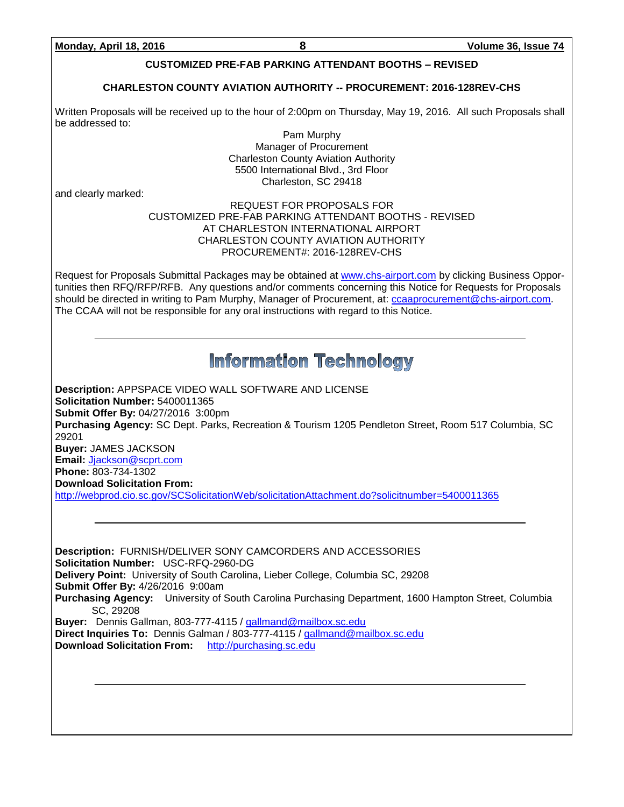# **CUSTOMIZED PRE-FAB PARKING ATTENDANT BOOTHS – REVISED**

# **CHARLESTON COUNTY AVIATION AUTHORITY -- PROCUREMENT: 2016-128REV-CHS**

Written Proposals will be received up to the hour of 2:00pm on Thursday, May 19, 2016. All such Proposals shall be addressed to:

Pam Murphy Manager of Procurement Charleston County Aviation Authority 5500 International Blvd., 3rd Floor Charleston, SC 29418

and clearly marked:

### REQUEST FOR PROPOSALS FOR CUSTOMIZED PRE-FAB PARKING ATTENDANT BOOTHS - REVISED AT CHARLESTON INTERNATIONAL AIRPORT CHARLESTON COUNTY AVIATION AUTHORITY PROCUREMENT#: 2016-128REV-CHS

Request for Proposals Submittal Packages may be obtained at [www.chs-airport.com](http://www.chs-airport.com/) by clicking Business Opportunities then RFQ/RFP/RFB. Any questions and/or comments concerning this Notice for Requests for Proposals should be directed in writing to Pam Murphy, Manager of Procurement, at: [ccaaprocurement@chs-airport.com.](mailto:ccaaprocurement@chs-airport.com) The CCAA will not be responsible for any oral instructions with regard to this Notice.

# **Information Technology**

**Description:** APPSPACE VIDEO WALL SOFTWARE AND LICENSE **Solicitation Number:** 5400011365 **Submit Offer By:** 04/27/2016 3:00pm **Purchasing Agency:** SC Dept. Parks, Recreation & Tourism 1205 Pendleton Street, Room 517 Columbia, SC 29201 **Buyer:** JAMES JACKSON **Email:** [Jjackson@scprt.com](mailto:Jjackson@scprt.com) **Phone:** 803-734-1302

**Download Solicitation From:** 

<http://webprod.cio.sc.gov/SCSolicitationWeb/solicitationAttachment.do?solicitnumber=5400011365>

**Description:** FURNISH/DELIVER SONY CAMCORDERS AND ACCESSORIES **Solicitation Number:** USC-RFQ-2960-DG **Delivery Point:** University of South Carolina, Lieber College, Columbia SC, 29208 **Submit Offer By:** 4/26/2016 9:00am **Purchasing Agency:** University of South Carolina Purchasing Department, 1600 Hampton Street, Columbia SC, 29208 **Buyer:** Dennis Gallman, 803-777-4115 / [gallmand@mailbox.sc.edu](mailto:gallmand@mailbox.sc.edu) **Direct Inquiries To:** Dennis Galman / 803-777-4115 / [gallmand@mailbox.sc.edu](mailto:gallmand@mailbox.sc.edu) **Download Solicitation From:** [http://purchasing.sc.edu](http://purchasing.sc.edu/)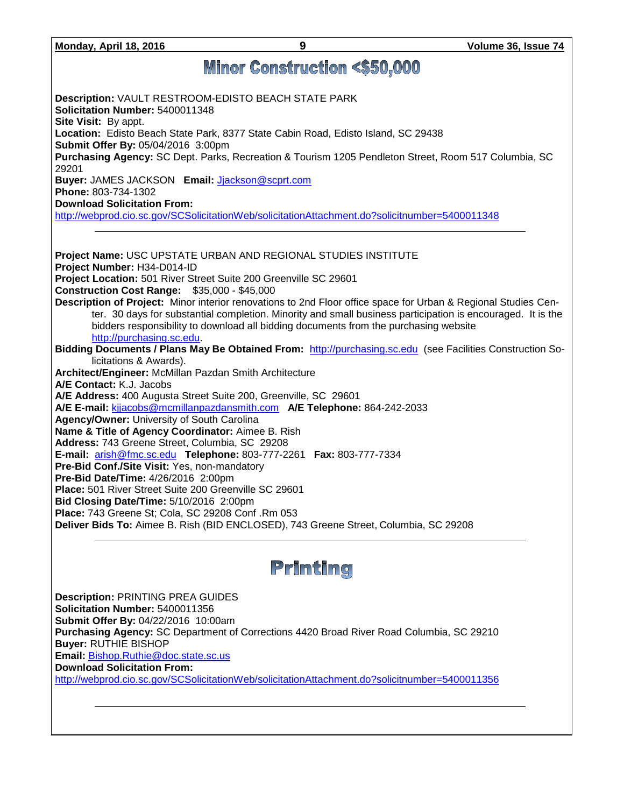**Monday, April 18, 2016 9 Volume 36, Issue 74**

# **Minor Construction <\$50,000**

**Description:** VAULT RESTROOM-EDISTO BEACH STATE PARK **Solicitation Number:** 5400011348 **Site Visit:** By appt. **Location:** Edisto Beach State Park, 8377 State Cabin Road, Edisto Island, SC 29438 **Submit Offer By:** 05/04/2016 3:00pm **Purchasing Agency:** SC Dept. Parks, Recreation & Tourism 1205 Pendleton Street, Room 517 Columbia, SC 29201 **Buyer:** JAMES JACKSON **Email:** [Jjackson@scprt.com](mailto:Jjackson@scprt.com) **Phone:** 803-734-1302 **Download Solicitation From:**  <http://webprod.cio.sc.gov/SCSolicitationWeb/solicitationAttachment.do?solicitnumber=5400011348> **Project Name:** USC UPSTATE URBAN AND REGIONAL STUDIES INSTITUTE **Project Number:** H34-D014-ID **Project Location:** 501 River Street Suite 200 Greenville SC 29601 **Construction Cost Range:** \$35,000 - \$45,000 **Description of Project:** Minor interior renovations to 2nd Floor office space for Urban & Regional Studies Center. 30 days for substantial completion. Minority and small business participation is encouraged. It is the bidders responsibility to download all bidding documents from the purchasing website [http://purchasing.sc.edu.](http://purchasing.sc.edu/) **Bidding Documents / Plans May Be Obtained From:** [http://purchasing.sc.edu](http://purchasing.sc.edu/) (see Facilities Construction Solicitations & Awards). **Architect/Engineer:** McMillan Pazdan Smith Architecture **A/E Contact:** K.J. Jacobs **A/E Address:** 400 Augusta Street Suite 200, Greenville, SC 29601 **A/E E-mail:** [kjjacobs@mcmillanpazdansmith.com](mailto:kjjacobs@mcmillanpazdansmith.com) **A/E Telephone:** 864-242-2033 **Agency/Owner:** University of South Carolina **Name & Title of Agency Coordinator:** Aimee B. Rish **Address:** 743 Greene Street, Columbia, SC 29208 **E-mail:** [arish@fmc.sc.edu](mailto:arish@fmc.sc.edu) **Telephone:** 803-777-2261 **Fax:** 803-777-7334 **Pre-Bid Conf./Site Visit:** Yes, non-mandatory **Pre-Bid Date/Time:** 4/26/2016 2:00pm **Place:** 501 River Street Suite 200 Greenville SC 29601 **Bid Closing Date/Time:** 5/10/2016 2:00pm **Place:** 743 Greene St; Cola, SC 29208 Conf .Rm 053 **Deliver Bids To:** Aimee B. Rish (BID ENCLOSED), 743 Greene Street, Columbia, SC 29208



**Description:** PRINTING PREA GUIDES **Solicitation Number:** 5400011356 **Submit Offer By:** 04/22/2016 10:00am **Purchasing Agency:** SC Department of Corrections 4420 Broad River Road Columbia, SC 29210 **Buyer:** RUTHIE BISHOP **Email:** [Bishop.Ruthie@doc.state.sc.us](mailto:Bishop.Ruthie@doc.state.sc.us) **Download Solicitation From:**  <http://webprod.cio.sc.gov/SCSolicitationWeb/solicitationAttachment.do?solicitnumber=5400011356>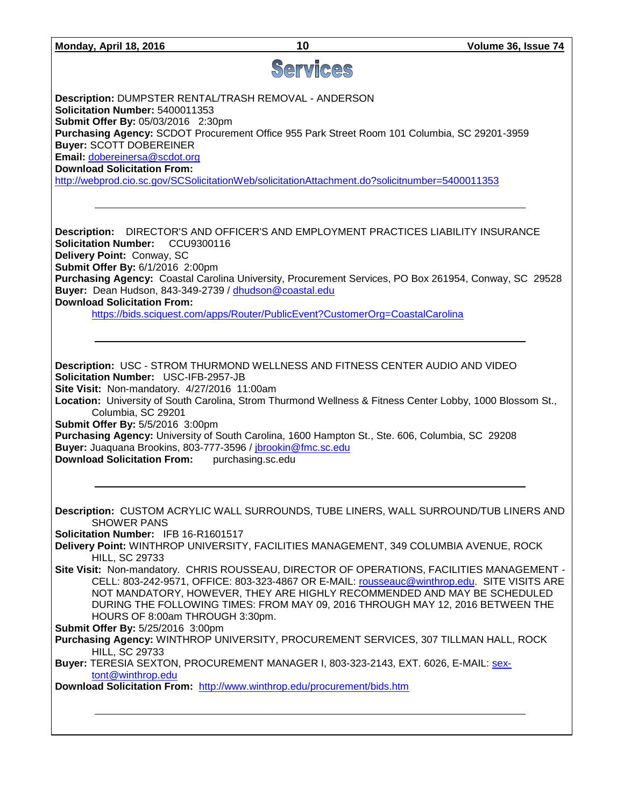|  | Monday, April 18, 2016 |  |  |
|--|------------------------|--|--|
|--|------------------------|--|--|

# Services

**Description:** DUMPSTER RENTAL/TRASH REMOVAL - ANDERSON **Solicitation Number:** 5400011353 **Submit Offer By:** 05/03/2016 2:30pm **Purchasing Agency:** SCDOT Procurement Office 955 Park Street Room 101 Columbia, SC 29201-3959 **Buyer:** SCOTT DOBEREINER **Email:** [dobereinersa@scdot.org](mailto:dobereinersa@scdot.org) **Download Solicitation From:**  <http://webprod.cio.sc.gov/SCSolicitationWeb/solicitationAttachment.do?solicitnumber=5400011353>

**Description:** DIRECTOR'S AND OFFICER'S AND EMPLOYMENT PRACTICES LIABILITY INSURANCE **Solicitation Number:** CCU9300116 **Delivery Point:** Conway, SC **Submit Offer By:** 6/1/2016 2:00pm **Purchasing Agency:** Coastal Carolina University, Procurement Services, PO Box 261954, Conway, SC 29528 **Buyer:** Dean Hudson, 843-349-2739 / [dhudson@coastal.edu](mailto:dhudson@coastal.edu) **Download Solicitation From:**

<https://bids.sciquest.com/apps/Router/PublicEvent?CustomerOrg=CoastalCarolina>

**Description:** USC - STROM THURMOND WELLNESS AND FITNESS CENTER AUDIO AND VIDEO **Solicitation Number:** USC-IFB-2957-JB **Site Visit:** Non-mandatory. 4/27/2016 11:00am **Location:** University of South Carolina, Strom Thurmond Wellness & Fitness Center Lobby, 1000 Blossom St., Columbia, SC 29201 **Submit Offer By:** 5/5/2016 3:00pm

**Purchasing Agency:** University of South Carolina, 1600 Hampton St., Ste. 606, Columbia, SC 29208 **Buyer:** Juaquana Brookins, 803-777-3596 / [jbrookin@fmc.sc.edu](mailto:jbrookin@fmc.sc.edu) **Download Solicitation From:** purchasing.sc.edu

**Description:** CUSTOM ACRYLIC WALL SURROUNDS, TUBE LINERS, WALL SURROUND/TUB LINERS AND SHOWER PANS

**Solicitation Number:** IFB 16-R1601517

**Delivery Point:** WINTHROP UNIVERSITY, FACILITIES MANAGEMENT, 349 COLUMBIA AVENUE, ROCK HILL, SC 29733

**Site Visit:** Non-mandatory. CHRIS ROUSSEAU, DIRECTOR OF OPERATIONS, FACILITIES MANAGEMENT - CELL: 803-242-9571, OFFICE: 803-323-4867 OR E-MAIL: [rousseauc@winthrop.edu.](mailto:rousseauc@winthrop.edu) SITE VISITS ARE NOT MANDATORY, HOWEVER, THEY ARE HIGHLY RECOMMENDED AND MAY BE SCHEDULED DURING THE FOLLOWING TIMES: FROM MAY 09, 2016 THROUGH MAY 12, 2016 BETWEEN THE HOURS OF 8:00am THROUGH 3:30pm.

**Submit Offer By:** 5/25/2016 3:00pm

**Purchasing Agency:** WINTHROP UNIVERSITY, PROCUREMENT SERVICES, 307 TILLMAN HALL, ROCK HILL, SC 29733

**Buyer:** TERESIA SEXTON, PROCUREMENT MANAGER I, 803-323-2143, EXT. 6026, E-MAIL: [sex](mailto:sextont@winthrop.edu)[tont@winthrop.edu](mailto:sextont@winthrop.edu)

**Download Solicitation From:** <http://www.winthrop.edu/procurement/bids.htm>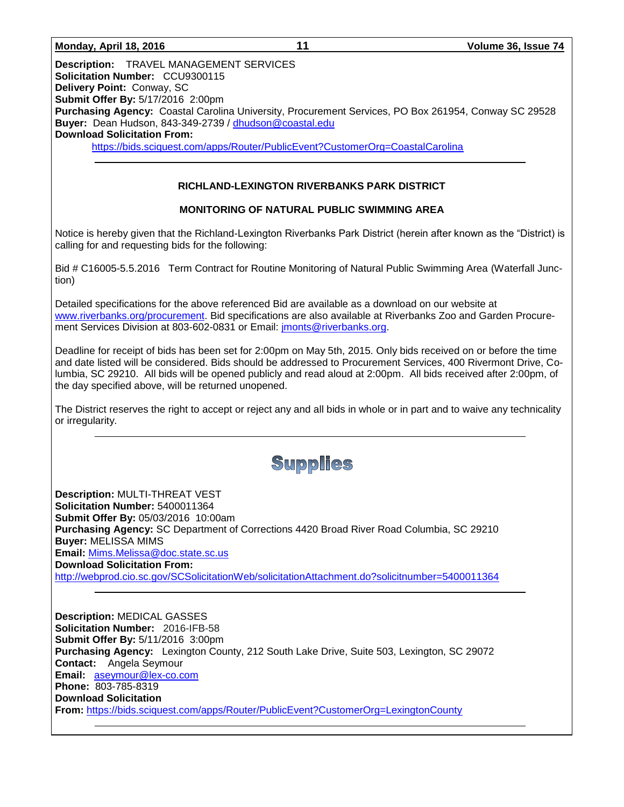**Description:** TRAVEL MANAGEMENT SERVICES **Solicitation Number:** CCU9300115 **Delivery Point:** Conway, SC **Submit Offer By:** 5/17/2016 2:00pm **Purchasing Agency:** Coastal Carolina University, Procurement Services, PO Box 261954, Conway SC 29528 **Buyer:** Dean Hudson, 843-349-2739 / [dhudson@coastal.edu](mailto:dhudson@coastal.edu) **Download Solicitation From:** <https://bids.sciquest.com/apps/Router/PublicEvent?CustomerOrg=CoastalCarolina>

## **RICHLAND-LEXINGTON RIVERBANKS PARK DISTRICT**

## **MONITORING OF NATURAL PUBLIC SWIMMING AREA**

Notice is hereby given that the Richland-Lexington Riverbanks Park District (herein after known as the "District) is calling for and requesting bids for the following:

Bid # C16005-5.5.2016 Term Contract for Routine Monitoring of Natural Public Swimming Area (Waterfall Junction)

Detailed specifications for the above referenced Bid are available as a download on our website at [www.riverbanks.org/procurement.](http://www.riverbanks.org/procurement) Bid specifications are also available at Riverbanks Zoo and Garden Procurement Services Division at 803-602-0831 or Email: *imonts@riverbanks.org.* 

Deadline for receipt of bids has been set for 2:00pm on May 5th, 2015. Only bids received on or before the time and date listed will be considered. Bids should be addressed to Procurement Services, 400 Rivermont Drive, Columbia, SC 29210. All bids will be opened publicly and read aloud at 2:00pm. All bids received after 2:00pm, of the day specified above, will be returned unopened.

The District reserves the right to accept or reject any and all bids in whole or in part and to waive any technicality or irregularity.

Supplies

**Description:** MULTI-THREAT VEST **Solicitation Number:** 5400011364 **Submit Offer By:** 05/03/2016 10:00am **Purchasing Agency:** SC Department of Corrections 4420 Broad River Road Columbia, SC 29210 **Buyer:** MELISSA MIMS **Email:** [Mims.Melissa@doc.state.sc.us](mailto:Mims.Melissa@doc.state.sc.us) **Download Solicitation From:**  <http://webprod.cio.sc.gov/SCSolicitationWeb/solicitationAttachment.do?solicitnumber=5400011364>

**Description:** MEDICAL GASSES **Solicitation Number:** 2016-IFB-58 **Submit Offer By:** 5/11/2016 3:00pm **Purchasing Agency:** Lexington County, 212 South Lake Drive, Suite 503, Lexington, SC 29072 **Contact:** Angela Seymour **Email:** [aseymour@lex-co.com](mailto:aseymour@lex-co.com) **Phone:** 803-785-8319 **Download Solicitation From:** <https://bids.sciquest.com/apps/Router/PublicEvent?CustomerOrg=LexingtonCounty>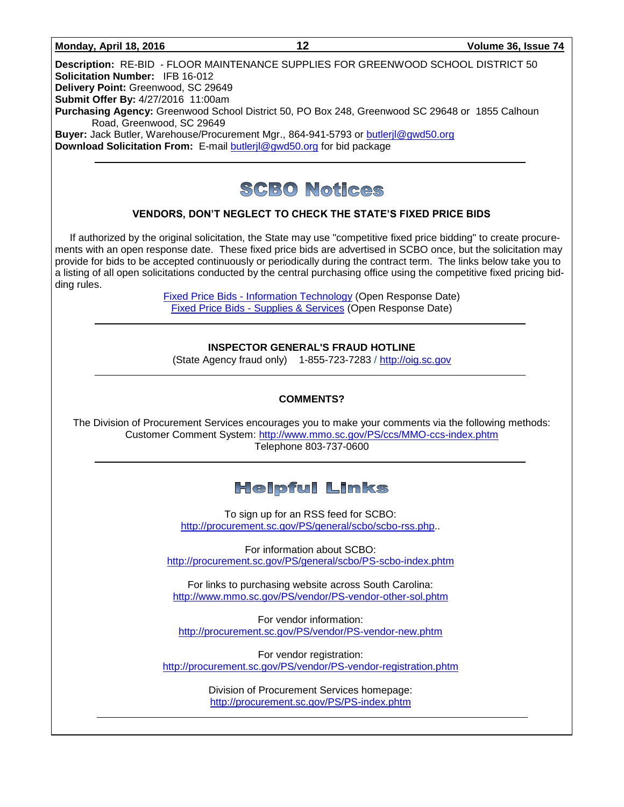#### **Monday, April 18, 2016 12 Volume 36, Issue 74**

**Description:** RE-BID - FLOOR MAINTENANCE SUPPLIES FOR GREENWOOD SCHOOL DISTRICT 50 **Solicitation Number:** IFB 16-012 **Delivery Point:** Greenwood, SC 29649 **Submit Offer By:** 4/27/2016 11:00am **Purchasing Agency:** Greenwood School District 50, PO Box 248, Greenwood SC 29648 or 1855 Calhoun Road, Greenwood, SC 29649 **Buyer:** Jack Butler, Warehouse/Procurement Mgr., 864-941-5793 or [butlerjl@gwd50.org](mailto:butlerjl@gwd50.org)

**Download Solicitation From:** E-mail [butlerjl@gwd50.org](mailto:butlerjl@gwd50.org) for bid package



#### **VENDORS, DON'T NEGLECT TO CHECK THE STATE'S FIXED PRICE BIDS**

If authorized by the original solicitation, the State may use "competitive fixed price bidding" to create procurements with an open response date. These fixed price bids are advertised in SCBO once, but the solicitation may provide for bids to be accepted continuously or periodically during the contract term. The links below take you to a listing of all open solicitations conducted by the central purchasing office using the competitive fixed pricing bidding rules.

> Fixed Price Bids - [Information Technology](http://www.mmo.sc.gov/PS/vendor/PS-vendor-fixed-price-bids-it.phtm) (Open Response Date) Fixed Price Bids - [Supplies & Services](http://www.mmo.sc.gov/PS/vendor/PS-vendor-fixed-price-bids-ss.phtm) (Open Response Date)

> > **INSPECTOR GENERAL'S FRAUD HOTLINE**

(State Agency fraud only) 1-855-723-7283 / [http://oig.sc.gov](http://oig.sc.gov/)

#### **COMMENTS?**

The Division of Procurement Services encourages you to make your comments via the following methods: Customer Comment System:<http://www.mmo.sc.gov/PS/ccs/MMO-ccs-index.phtm> Telephone 803-737-0600

# **Helpful Links**

To sign up for an RSS feed for SCBO: [http://procurement.sc.gov/PS/general/scbo/scbo-rss.php.](http://procurement.sc.gov/PS/general/scbo/scbo-rss.php).

For information about SCBO: <http://procurement.sc.gov/PS/general/scbo/PS-scbo-index.phtm>

For links to purchasing website across South Carolina: <http://www.mmo.sc.gov/PS/vendor/PS-vendor-other-sol.phtm>

For vendor information: <http://procurement.sc.gov/PS/vendor/PS-vendor-new.phtm>

For vendor registration: <http://procurement.sc.gov/PS/vendor/PS-vendor-registration.phtm>

> Division of Procurement Services homepage: <http://procurement.sc.gov/PS/PS-index.phtm>